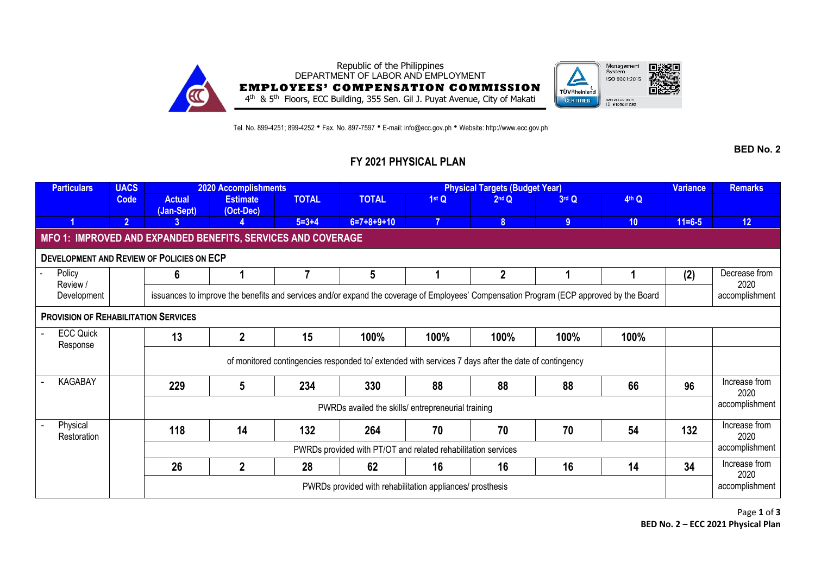

Tel. No. 899-4251; 899-4252 • Fax. No. 897-7597 • E-mail: info@ecc.gov.ph • Website: http://www.ecc.gov.ph

**BED No. 2**

## **FY 2021 PHYSICAL PLAN**

| <b>Particulars</b>                                           | <b>UACS</b>    | 2020 Accomplishments                                                                                                                    |                              |              | <b>Physical Targets (Budget Year)</b> |      |                |                |                 |              | <b>Remarks</b>        |
|--------------------------------------------------------------|----------------|-----------------------------------------------------------------------------------------------------------------------------------------|------------------------------|--------------|---------------------------------------|------|----------------|----------------|-----------------|--------------|-----------------------|
|                                                              | Code           | <b>Actual</b><br>(Jan-Sept)                                                                                                             | <b>Estimate</b><br>(Oct-Dec) | <b>TOTAL</b> | <b>TOTAL</b>                          | 1stQ | $2nd$ $Q$      | 3rd Q          | 4th Q           |              |                       |
|                                                              | $\overline{2}$ | 3                                                                                                                                       |                              | $5 = 3 + 4$  | $6=7+8+9+10$                          |      | 8 <sup>°</sup> | 9 <sup>°</sup> | 10 <sup>°</sup> | $11 = 6 - 5$ | 12                    |
| MFO 1: IMPROVED AND EXPANDED BENEFITS, SERVICES AND COVERAGE |                |                                                                                                                                         |                              |              |                                       |      |                |                |                 |              |                       |
| <b>DEVELOPMENT AND REVIEW OF POLICIES ON ECP</b>             |                |                                                                                                                                         |                              |              |                                       |      |                |                |                 |              |                       |
| Policy<br>Review /<br>Development                            |                | 6                                                                                                                                       |                              |              | 5                                     |      | $\mathbf{2}$   |                |                 | (2)          | Decrease from<br>2020 |
|                                                              |                | issuances to improve the benefits and services and/or expand the coverage of Employees' Compensation Program (ECP approved by the Board |                              |              |                                       |      |                |                |                 |              |                       |
| <b>PROVISION OF REHABILITATION SERVICES</b>                  |                |                                                                                                                                         |                              |              |                                       |      |                |                |                 |              |                       |
| <b>ECC Quick</b><br>Response                                 |                | 13                                                                                                                                      | $\overline{2}$               | 15           | 100%                                  | 100% | 100%           | 100%           | 100%            |              |                       |
|                                                              |                | of monitored contingencies responded to/ extended with services 7 days after the date of contingency                                    |                              |              |                                       |      |                |                |                 |              |                       |
| KAGABAY                                                      |                | 229                                                                                                                                     | 5                            | 234          | 330                                   | 88   | 88             | 88             | 66              | 96           | Increase from<br>2020 |
|                                                              |                | PWRDs availed the skills/ entrepreneurial training                                                                                      |                              |              |                                       |      |                |                |                 |              | accomplishment        |
| Physical<br>Restoration                                      |                | 118                                                                                                                                     | 14                           | 132          | 264                                   | 70   | 70             | 70             | 54              | 132          | Increase from<br>2020 |
|                                                              |                | PWRDs provided with PT/OT and related rehabilitation services                                                                           |                              |              |                                       |      |                |                |                 |              | accomplishment        |
|                                                              |                | 26                                                                                                                                      | $\overline{2}$               | 28           | 62                                    | 16   | 16             | 16             | 14              | 34           | Increase from<br>2020 |
|                                                              |                | PWRDs provided with rehabilitation appliances/ prosthesis                                                                               |                              |              |                                       |      |                |                |                 |              | accomplishment        |

Page **1** of **3 BED No. 2 – ECC 2021 Physical Plan**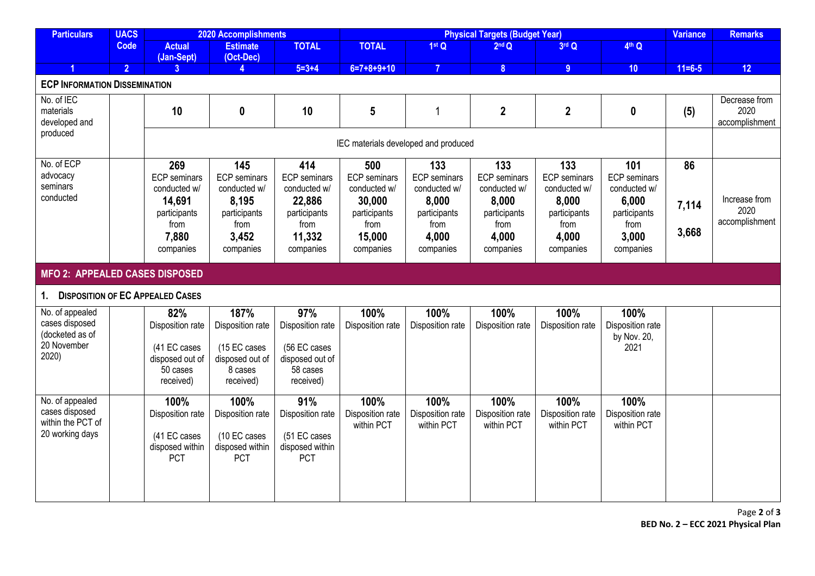| <b>Particulars</b>                                                           | <b>UACS</b>                           | 2020 Accomplishments                                                                               |                                                                                                   |                                                                                                     | <b>Physical Targets (Budget Year)</b>                                                               |                                                                                                   |                                                                                                   |                                                                                                   |                                                                                                   | <b>Variance</b>      | <b>Remarks</b>                          |
|------------------------------------------------------------------------------|---------------------------------------|----------------------------------------------------------------------------------------------------|---------------------------------------------------------------------------------------------------|-----------------------------------------------------------------------------------------------------|-----------------------------------------------------------------------------------------------------|---------------------------------------------------------------------------------------------------|---------------------------------------------------------------------------------------------------|---------------------------------------------------------------------------------------------------|---------------------------------------------------------------------------------------------------|----------------------|-----------------------------------------|
|                                                                              | <b>Code</b>                           | <b>Actual</b><br>(Jan-Sept)                                                                        | <b>Estimate</b><br>(Oct-Dec)                                                                      | <b>TOTAL</b>                                                                                        | <b>TOTAL</b>                                                                                        | 1stQ                                                                                              | 2 <sup>nd</sup> Q                                                                                 | 3rd Q                                                                                             | 4th Q                                                                                             |                      |                                         |
|                                                                              | $\overline{2}$                        | $\overline{3}$                                                                                     |                                                                                                   | $5 = 3 + 4$                                                                                         | $6=7+8+9+10$                                                                                        | $\overline{7}$                                                                                    | $\overline{\mathbf{8}}$                                                                           | 9 <sup>°</sup>                                                                                    | 10                                                                                                | $11 = 6 - 5$         | 12                                      |
| <b>ECP INFORMATION DISSEMINATION</b>                                         |                                       |                                                                                                    |                                                                                                   |                                                                                                     |                                                                                                     |                                                                                                   |                                                                                                   |                                                                                                   |                                                                                                   |                      |                                         |
| No. of IEC<br>materials<br>developed and                                     |                                       | 10                                                                                                 | $\boldsymbol{0}$                                                                                  | 10                                                                                                  | 5                                                                                                   | 1                                                                                                 | $\mathbf{2}$                                                                                      | $\mathbf{2}$                                                                                      | $\boldsymbol{0}$                                                                                  | (5)                  | Decrease from<br>2020<br>accomplishment |
| produced                                                                     | IEC materials developed and produced  |                                                                                                    |                                                                                                   |                                                                                                     |                                                                                                     |                                                                                                   |                                                                                                   |                                                                                                   |                                                                                                   |                      |                                         |
| No. of ECP<br>advocacy<br>seminars<br>conducted                              |                                       | 269<br><b>ECP</b> seminars<br>conducted w/<br>14,691<br>participants<br>from<br>7,880<br>companies | 145<br><b>ECP</b> seminars<br>conducted w/<br>8,195<br>participants<br>from<br>3,452<br>companies | 414<br><b>ECP</b> seminars<br>conducted w/<br>22,886<br>participants<br>from<br>11,332<br>companies | 500<br><b>ECP</b> seminars<br>conducted w/<br>30,000<br>participants<br>from<br>15,000<br>companies | 133<br><b>ECP</b> seminars<br>conducted w/<br>8,000<br>participants<br>from<br>4,000<br>companies | 133<br><b>ECP</b> seminars<br>conducted w/<br>8,000<br>participants<br>from<br>4,000<br>companies | 133<br><b>ECP</b> seminars<br>conducted w/<br>8,000<br>participants<br>from<br>4,000<br>companies | 101<br><b>ECP</b> seminars<br>conducted w/<br>6,000<br>participants<br>from<br>3,000<br>companies | 86<br>7,114<br>3,668 | Increase from<br>2020<br>accomplishment |
|                                                                              | <b>MFO 2: APPEALED CASES DISPOSED</b> |                                                                                                    |                                                                                                   |                                                                                                     |                                                                                                     |                                                                                                   |                                                                                                   |                                                                                                   |                                                                                                   |                      |                                         |
| 1. DISPOSITION OF EC APPEALED CASES                                          |                                       |                                                                                                    |                                                                                                   |                                                                                                     |                                                                                                     |                                                                                                   |                                                                                                   |                                                                                                   |                                                                                                   |                      |                                         |
| No. of appealed<br>cases disposed<br>(docketed as of<br>20 November<br>2020) |                                       | 82%<br>Disposition rate<br>(41 EC cases<br>disposed out of<br>50 cases<br>received)                | 187%<br>Disposition rate<br>(15 EC cases<br>disposed out of<br>8 cases<br>received)               | 97%<br>Disposition rate<br>(56 EC cases<br>disposed out of<br>58 cases<br>received)                 | 100%<br>Disposition rate                                                                            | 100%<br>Disposition rate                                                                          | 100%<br>Disposition rate                                                                          | 100%<br>Disposition rate                                                                          | 100%<br>Disposition rate<br>by Nov. 20,<br>2021                                                   |                      |                                         |
| No. of appealed<br>cases disposed<br>within the PCT of<br>20 working days    |                                       | 100%<br>Disposition rate<br>(41 EC cases<br>disposed within<br>PCT                                 | 100%<br>Disposition rate<br>(10 EC cases<br>disposed within<br><b>PCT</b>                         | 91%<br>Disposition rate<br>(51 EC cases<br>disposed within<br>PCT                                   | 100%<br>Disposition rate<br>within PCT                                                              | 100%<br>Disposition rate<br>within PCT                                                            | 100%<br>Disposition rate<br>within PCT                                                            | 100%<br>Disposition rate<br>within PCT                                                            | 100%<br>Disposition rate<br>within PCT                                                            |                      |                                         |